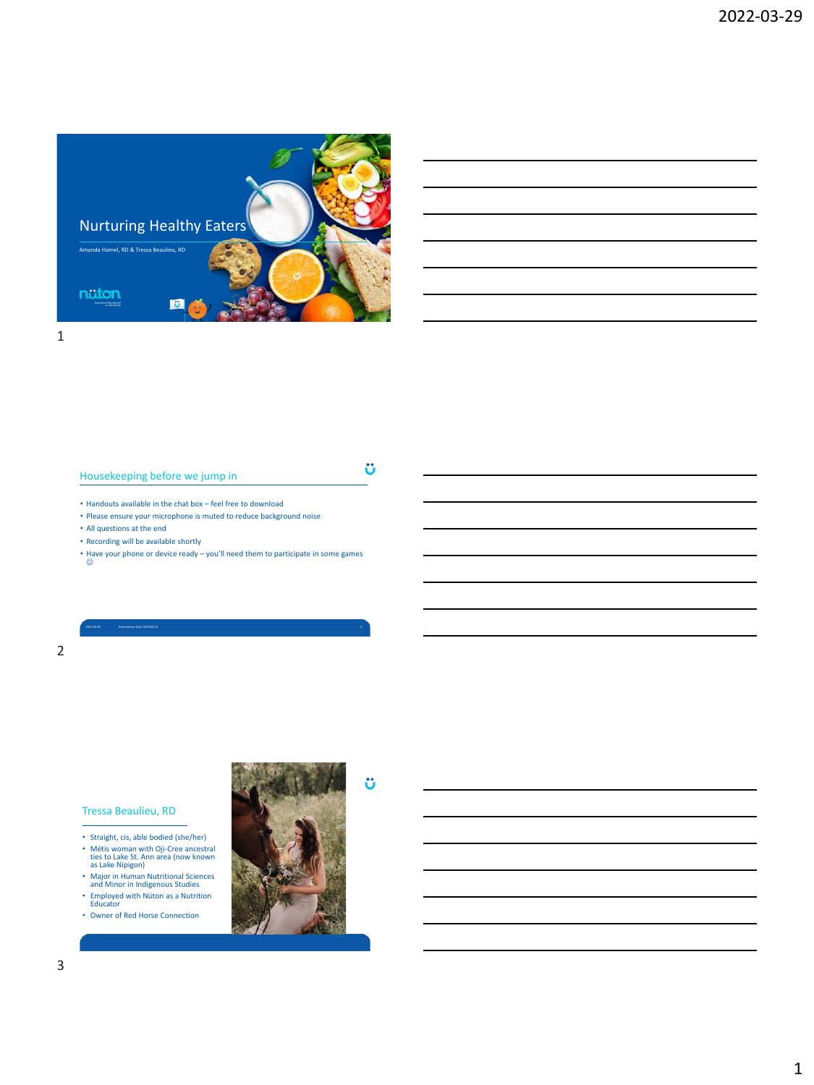

# Housekeeping before we jump in

ü

ö

- Handouts available in the chat box feel free to download
- Please ensure your microphone is muted to reduce background noise
- All questions at the end
- Recording will be available shortly
- Have your phone or device ready you'll need them to participate in some games ☺

2022-03-29 Presentation Title / NUTON.CA 2

### Tressa Beaulieu, RD

- Straight, cis, able bodied (she/her)
- Métis woman with Oji-Cree ancestral ties to Lake St. Ann area (now known as Lake Nipigon) Major in Human Nutritional Sciences and Minor in Indigenous Studies
- 
- Employed with Nüton as a Nutrition Educator
- Owner of Red Horse Connection

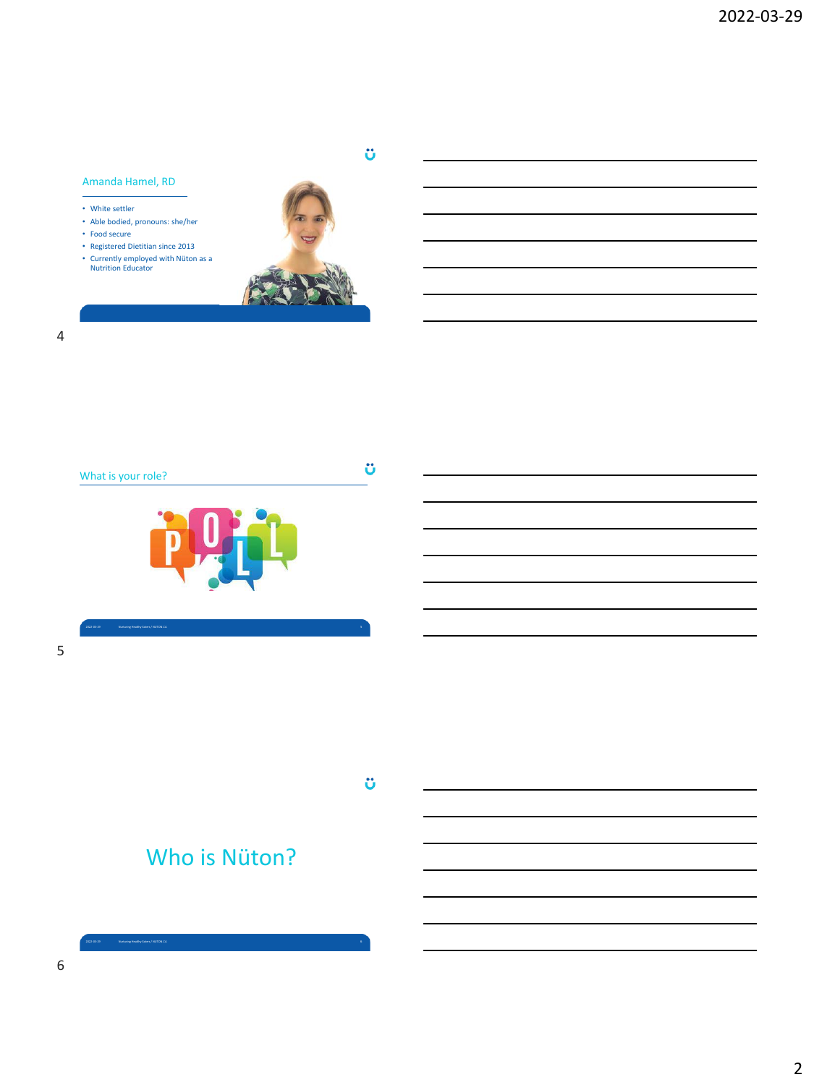### Amanda Hamel, RD

- White settler
- Able bodied, pronouns: she/her
- Food secure
- Registered Dietitian since 2013
- Currently employed with Nüton as a Nutrition Educator



ü

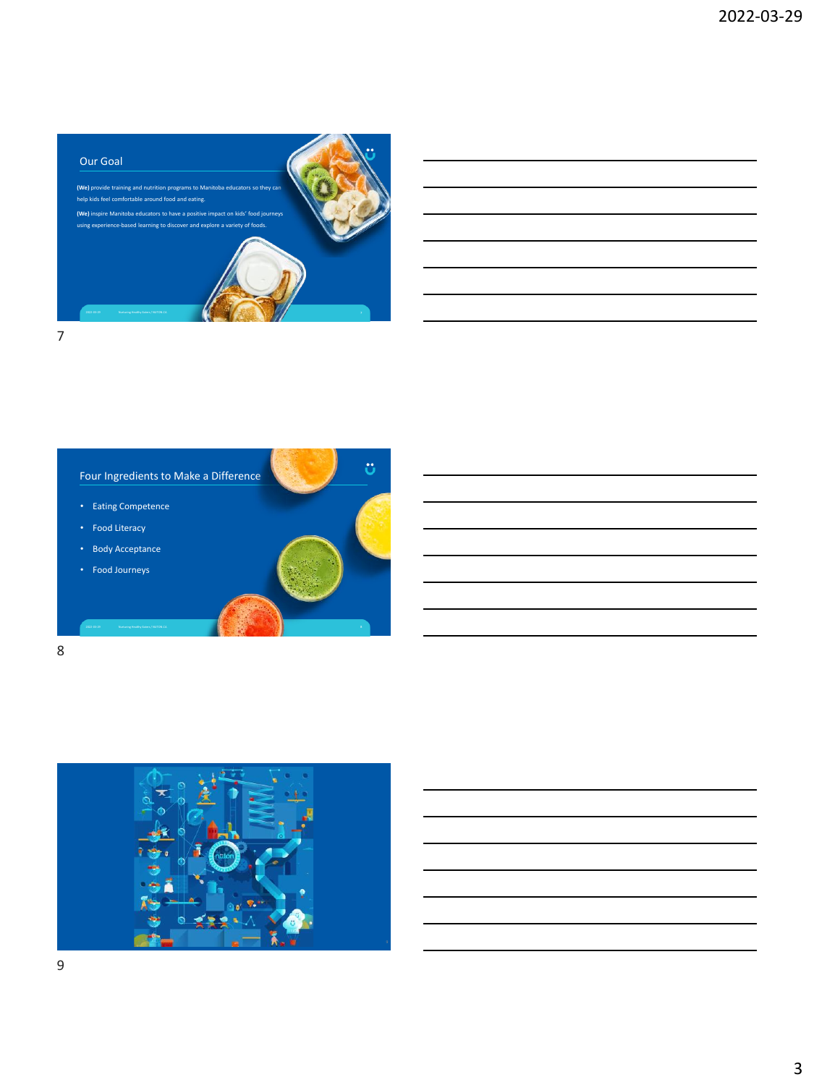



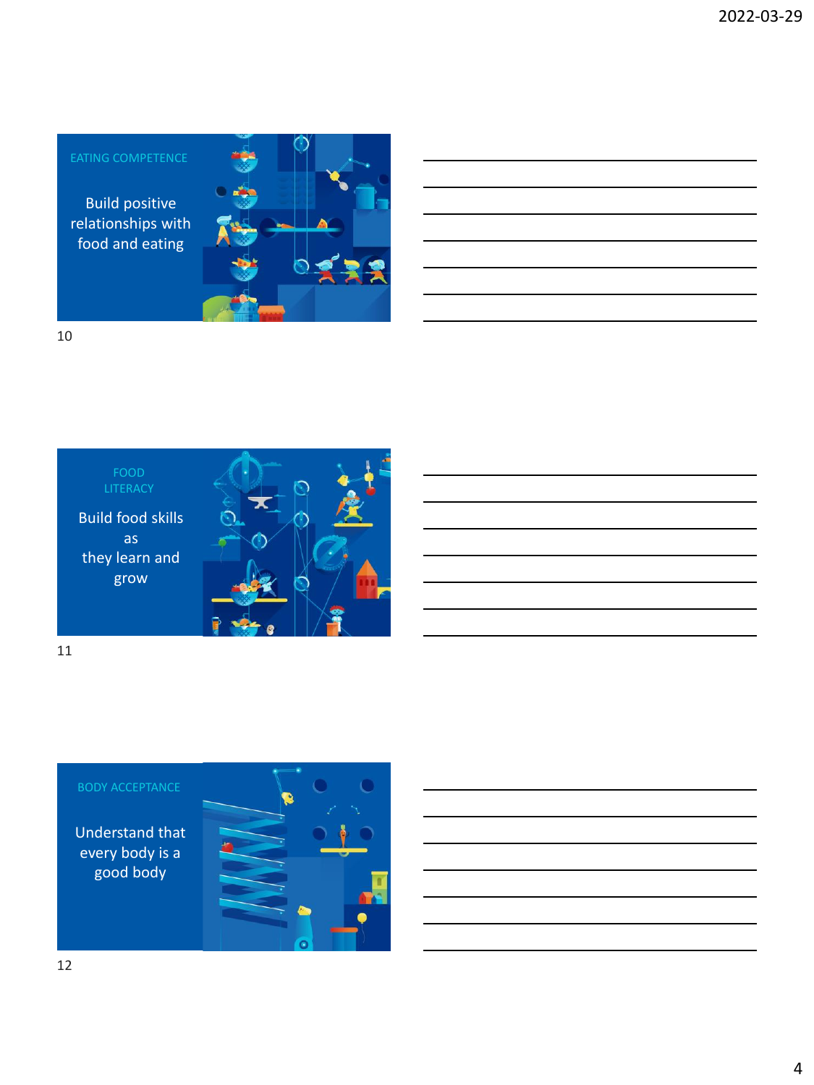Build positive relationships with food and eating  $\circ$ 10

Build food skills as they learn and grow LITERACY 11

# BODY ACCEPTANCE

Understand that every body is a good body

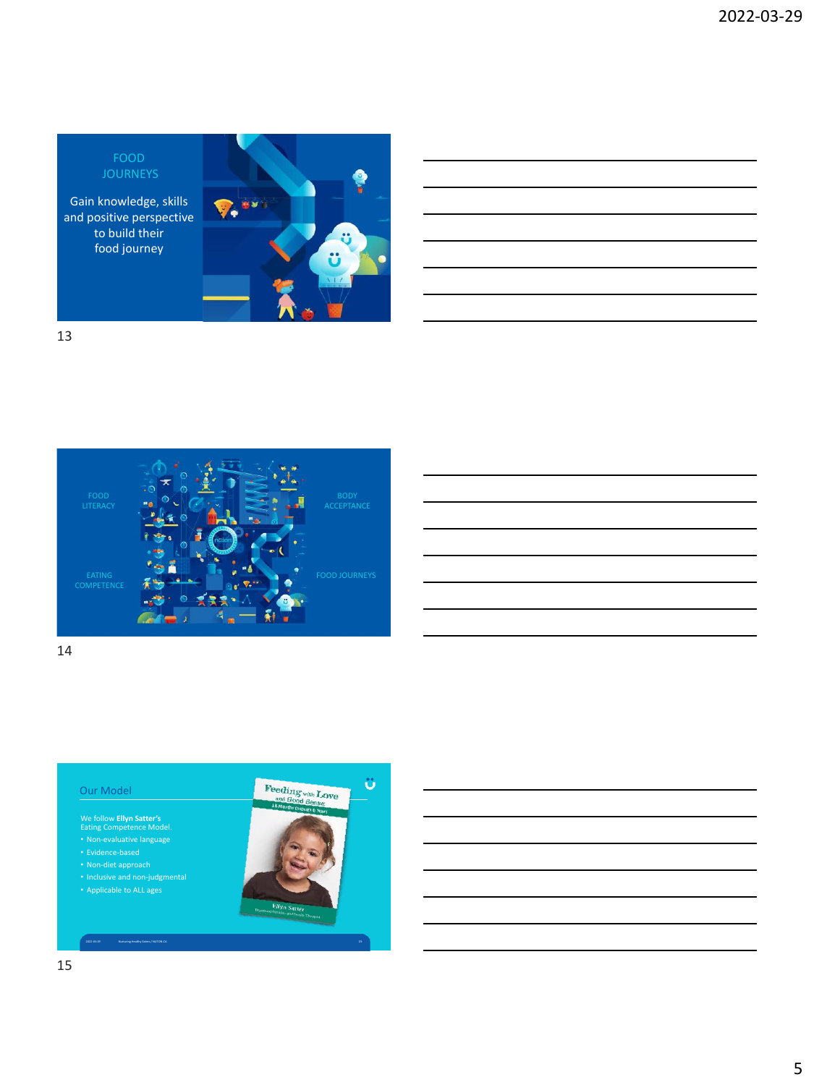FOOD JOURNEYS

Gain knowledge, skills and positive perspective to build their food journey







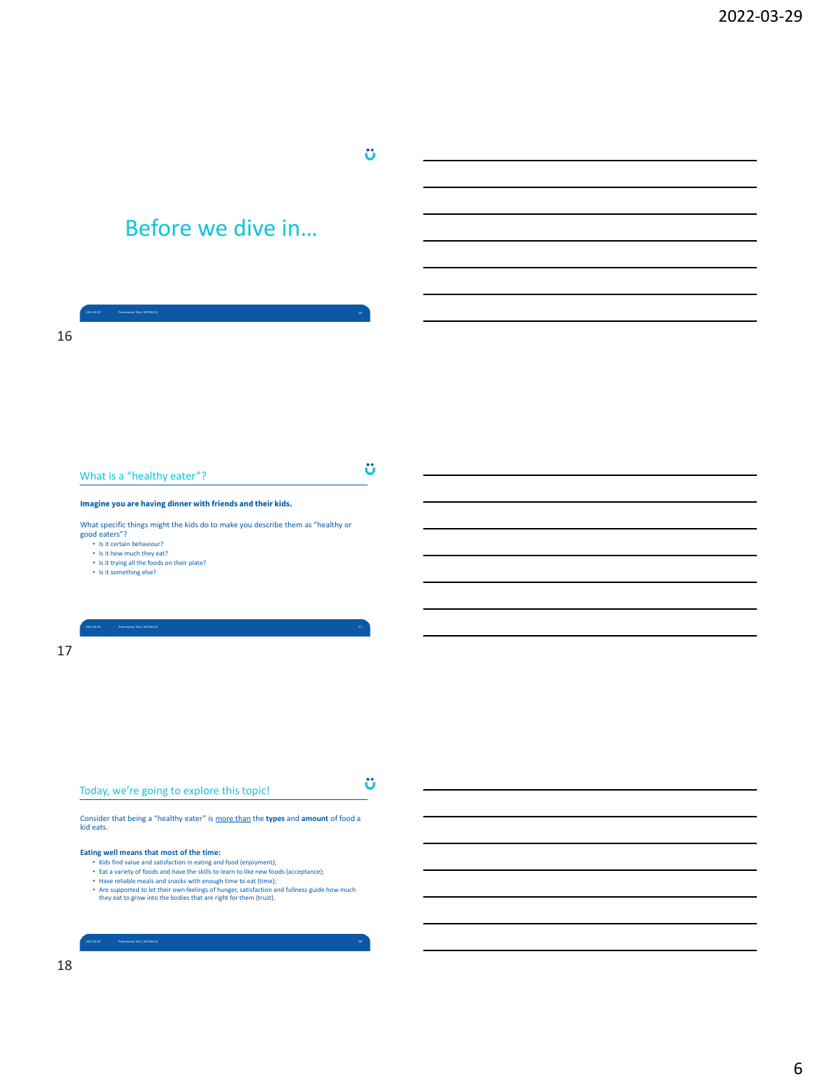# Before we dive in…

2022-03-29 Presentation Title / NUTON.CA 18

|    | <b>Insentation Title / NUTON CA</b>                                                                                                                                |   |  |
|----|--------------------------------------------------------------------------------------------------------------------------------------------------------------------|---|--|
|    |                                                                                                                                                                    |   |  |
| 16 |                                                                                                                                                                    |   |  |
|    |                                                                                                                                                                    |   |  |
|    |                                                                                                                                                                    |   |  |
|    |                                                                                                                                                                    |   |  |
|    |                                                                                                                                                                    |   |  |
|    |                                                                                                                                                                    |   |  |
|    |                                                                                                                                                                    |   |  |
|    |                                                                                                                                                                    |   |  |
|    |                                                                                                                                                                    |   |  |
|    |                                                                                                                                                                    | ü |  |
|    | What is a "healthy eater"?                                                                                                                                         |   |  |
|    | Imagine you are having dinner with friends and their kids.                                                                                                         |   |  |
|    |                                                                                                                                                                    |   |  |
|    | What specific things might the kids do to make you describe them as "healthy or<br>good eaters"?                                                                   |   |  |
|    | • Is it certain behaviour?                                                                                                                                         |   |  |
|    | • Is it how much they eat?<br>• Is it trying all the foods on their plate?                                                                                         |   |  |
|    | • Is it something else?                                                                                                                                            |   |  |
|    |                                                                                                                                                                    |   |  |
|    |                                                                                                                                                                    |   |  |
|    |                                                                                                                                                                    |   |  |
|    | <b>Presentation Title / NUTON CA</b><br>0.41.16                                                                                                                    |   |  |
| 17 |                                                                                                                                                                    |   |  |
|    |                                                                                                                                                                    |   |  |
|    |                                                                                                                                                                    |   |  |
|    |                                                                                                                                                                    |   |  |
|    |                                                                                                                                                                    |   |  |
|    |                                                                                                                                                                    |   |  |
|    |                                                                                                                                                                    |   |  |
|    |                                                                                                                                                                    |   |  |
|    |                                                                                                                                                                    |   |  |
|    |                                                                                                                                                                    | ü |  |
|    | Today, we're going to explore this topic!                                                                                                                          |   |  |
|    |                                                                                                                                                                    |   |  |
|    | Consider that being a "healthy eater" is more than the types and amount of food a<br>kid eats.                                                                     |   |  |
|    |                                                                                                                                                                    |   |  |
|    | Eating well means that most of the time:                                                                                                                           |   |  |
|    | • Kids find value and satisfaction in eating and food (enjoyment);<br>• Eat a variety of foods and have the skills to learn to like new foods (acceptance);        |   |  |
|    | • Have reliable meals and snacks with enough time to eat (time);                                                                                                   |   |  |
|    | • Are supported to let their own feelings of hunger, satisfaction and fullness guide how much<br>they eat to grow into the bodies that are right for them (trust). |   |  |
|    |                                                                                                                                                                    |   |  |
|    |                                                                                                                                                                    |   |  |

 $\ddot{\text{o}}$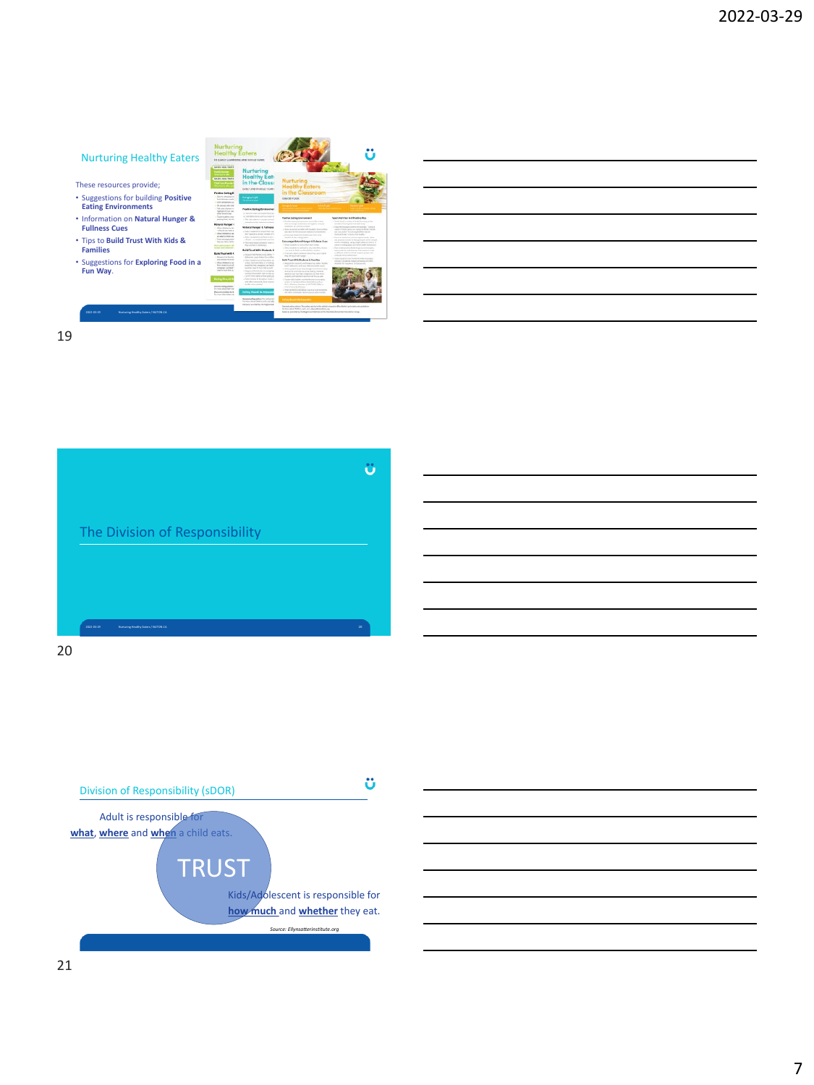# Nurturing Healthy Eaters These resources provide; • • Suggestions for building **Positive Eating Environments** • Information on **Natural Hunger & Fullness Cues** • Tips to **Build Trust With Kids & Families**  • Suggestions for **Exploring Food in a Fun Way**. 1 Milan Milano<br>And Milano<br>Limbaran Limba 2022-03-29 Nurturing Healthy Eaters / NUTON.CA 19





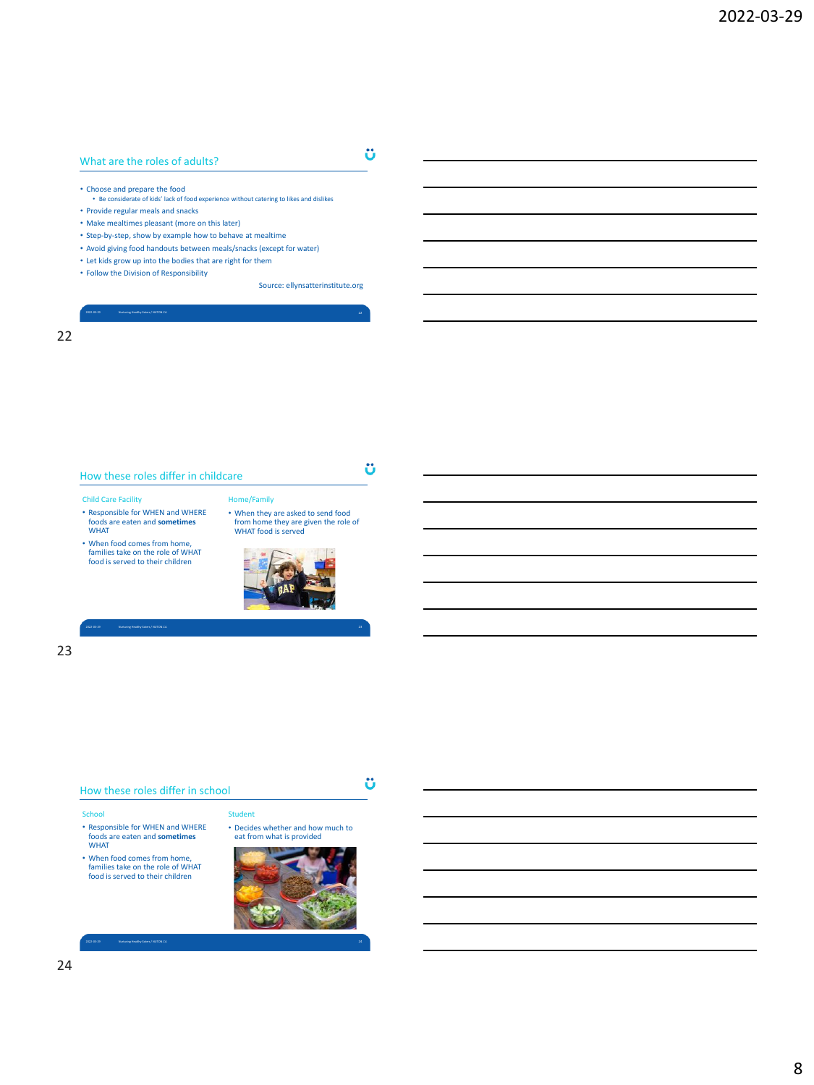# What are the roles of adults?

ü

ü

Ü

- Choose and prepare the food Be considerate of kids' lack of food experience without catering to likes and dislikes
- Provide regular meals and snacks
- Make mealtimes pleasant (more on this later)
- Step-by-step, show by example how to behave at mealtime
- Avoid giving food handouts between meals/snacks (except for water)

2022-03-29 Nurturing Healthy Eaters / NUTON.CA 22

- Let kids grow up into the bodies that are right for them
- Follow the Division of Responsibility

Source: ellynsatterinstitute.org

## 22

How these roles differ in childcare

### Child Care Facility

- Responsible for WHEN and WHERE foods are eaten and **sometimes** WHAT
- When food comes from home, families take on the role of WHAT food is served to their children



• When they are asked to send food from home they are given the role of WHAT food is served

Home/Family

2022-03-29 Nurturing Healthy Eaters / NUTON.CA 23

Student

23

### How these roles differ in school

### School

- Responsible for WHEN and WHERE foods are eaten and **sometimes** WHAT
- When food comes from home, families take on the role of WHAT food is served to their children
- Decides whether and how much to eat from what is provided

2022-03-29 Nurturing Healthy Eaters / NUTON.CA 24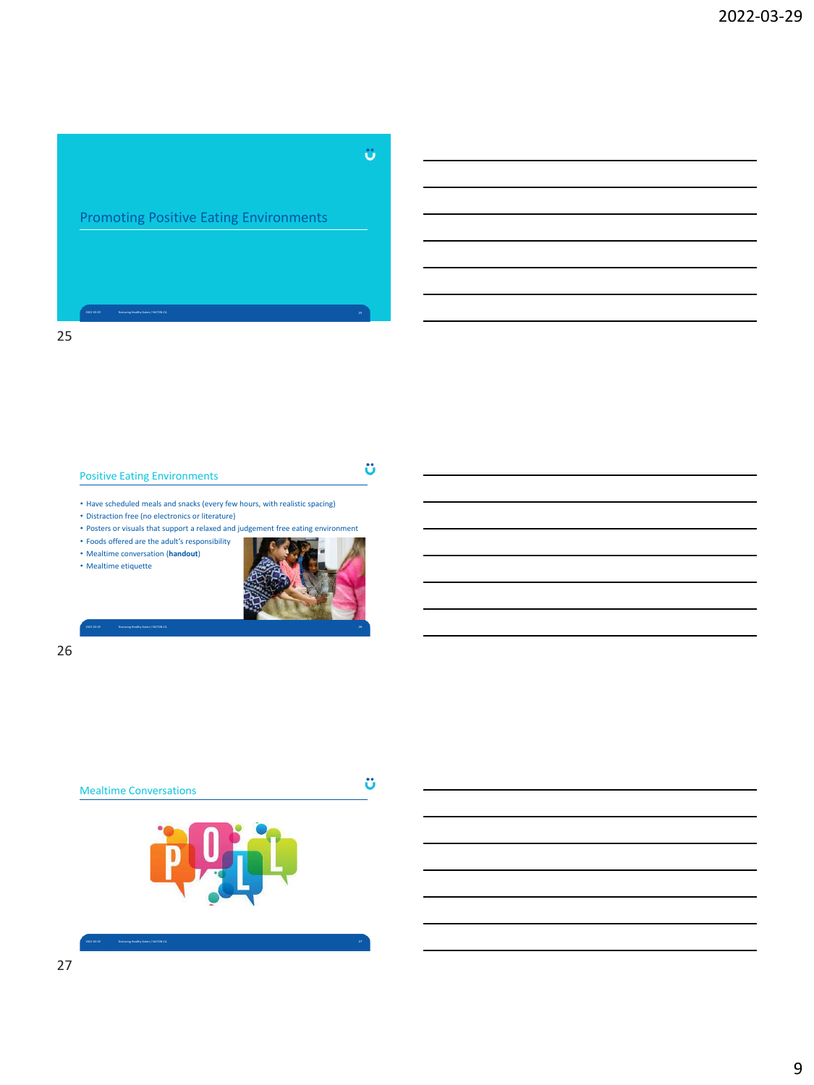Ü

# Promoting Positive Eating Environments

Positive Eating Environments

ü

• Have scheduled meals and snacks (every few hours, with realistic spacing)

• Distraction free (no electronics or literature)

• Posters or visuals that support a relaxed and judgement free eating environment

• Foods offered are the adult's responsibility

• Mealtime conversation (**handout**)





26

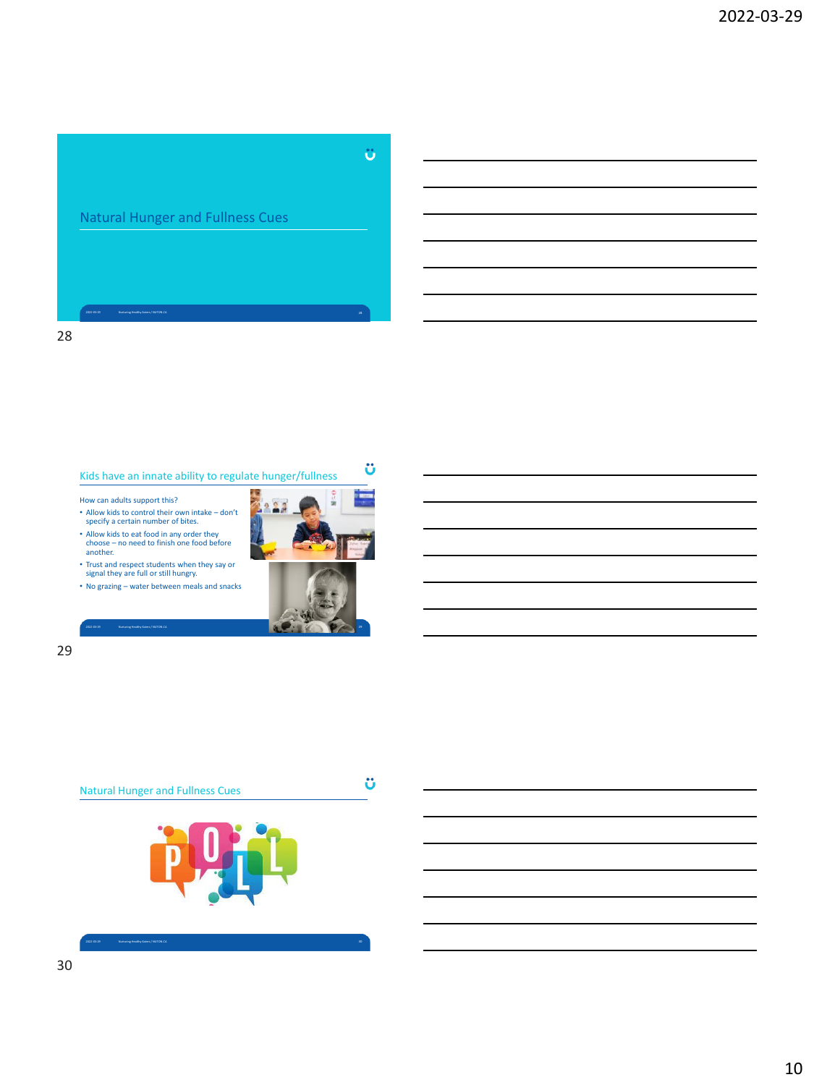# Ü Natural Hunger and Fullness Cues

28

# Kids have an innate ability to regulate hunger/fullness

How can adults support this?

- Allow kids to control their own intake don't specify a certain number of bites.
- Allow kids to eat food in any order they choose no need to finish one food before another.
- Trust and respect students when they say or signal they are full or still hungry.
- No grazing water between meals and snacks



ü



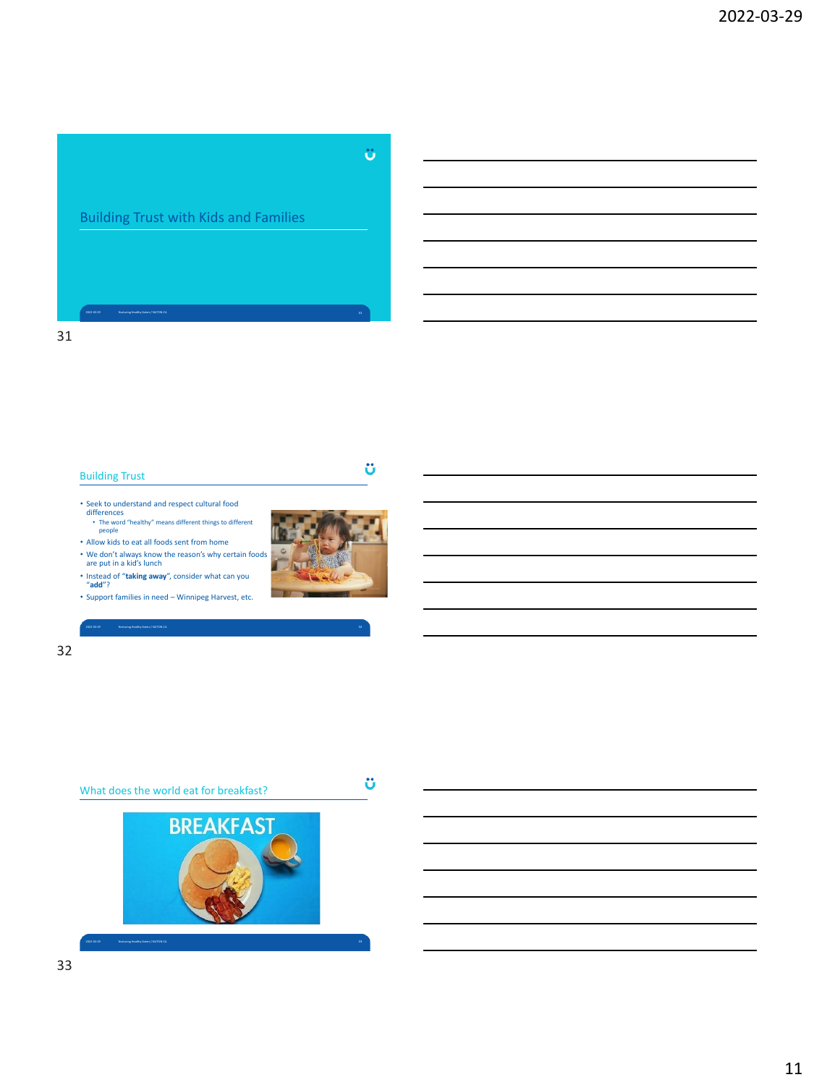# Ü

ü

# Building Trust with Kids and Families

# 31

# Building Trust

- Seek to understand and respect cultural food differences • The word "healthy" means different things to different people
- Allow kids to eat all foods sent from home
- We don't always know the reason's why certain foods are put in a kid's lunch
- Instead of "**taking away**", consider what can you "**add**"?
- Support families in need Winnipeg Harvest, etc.



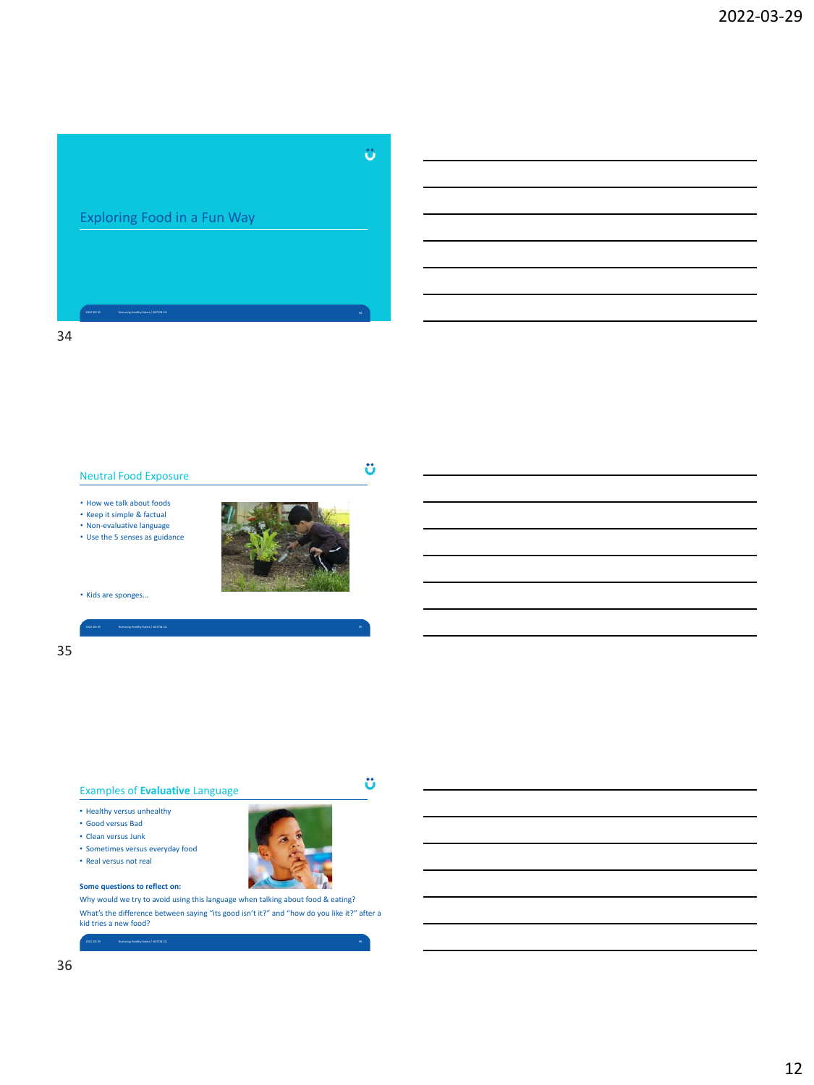# Ü Exploring Food in a Fun Way

# 34



# 35

## Examples of **Evaluative** Language

- Healthy versus unhealthy
- Good versus Bad
- Clean versus Junk
- Sometimes versus everyday food
- Real versus not real

### **Some questions to reflect on:**

Why would we try to avoid using this language when talking about food & eating? What's the difference between saying "its good isn't it?" and "how do you like it?" after a kid tries a new food?

2022-03-29 Nurturing Healthy Eaters / NUTON.CA 36



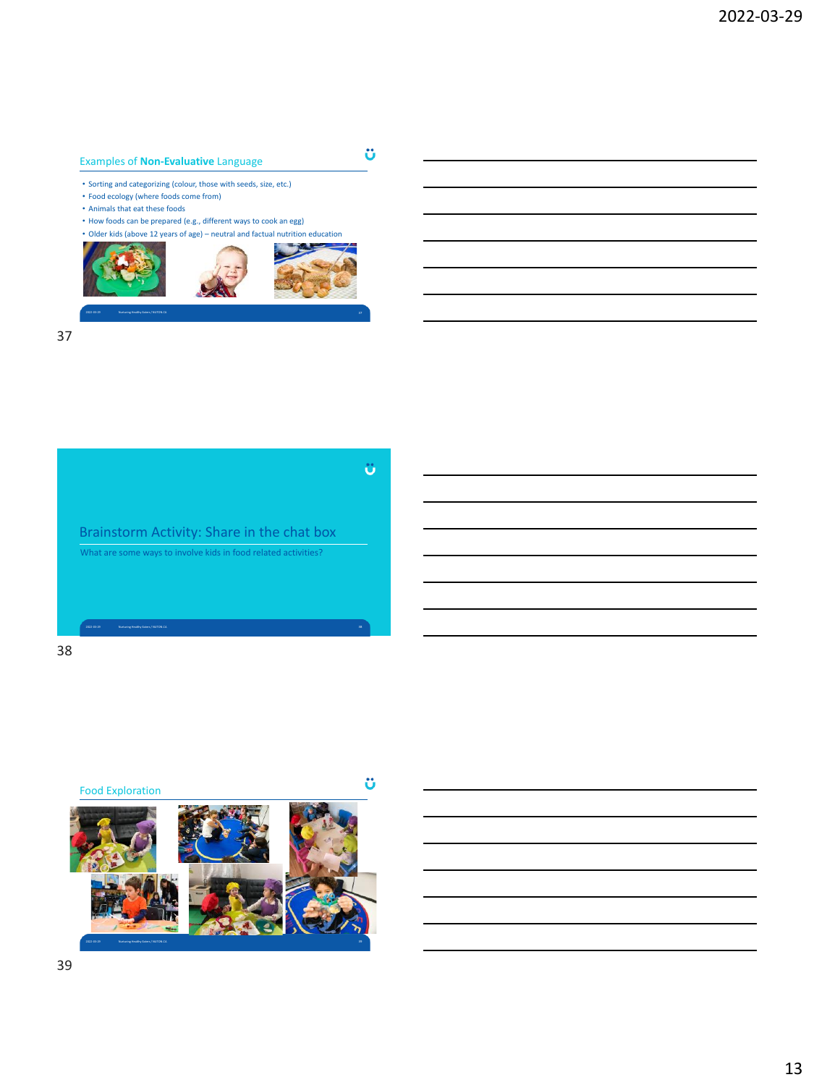# Examples of **Non-Evaluative** Language

• Sorting and categorizing (colour, those with seeds, size, etc.)

- Food ecology (where foods come from)
- Animals that eat these foods
- How foods can be prepared (e.g., different ways to cook an egg)
- Older kids (above 12 years of age) neutral and factual nutrition education

ö



2022-03-29 Nurturing Healthy Eaters / NUTON.CA 37





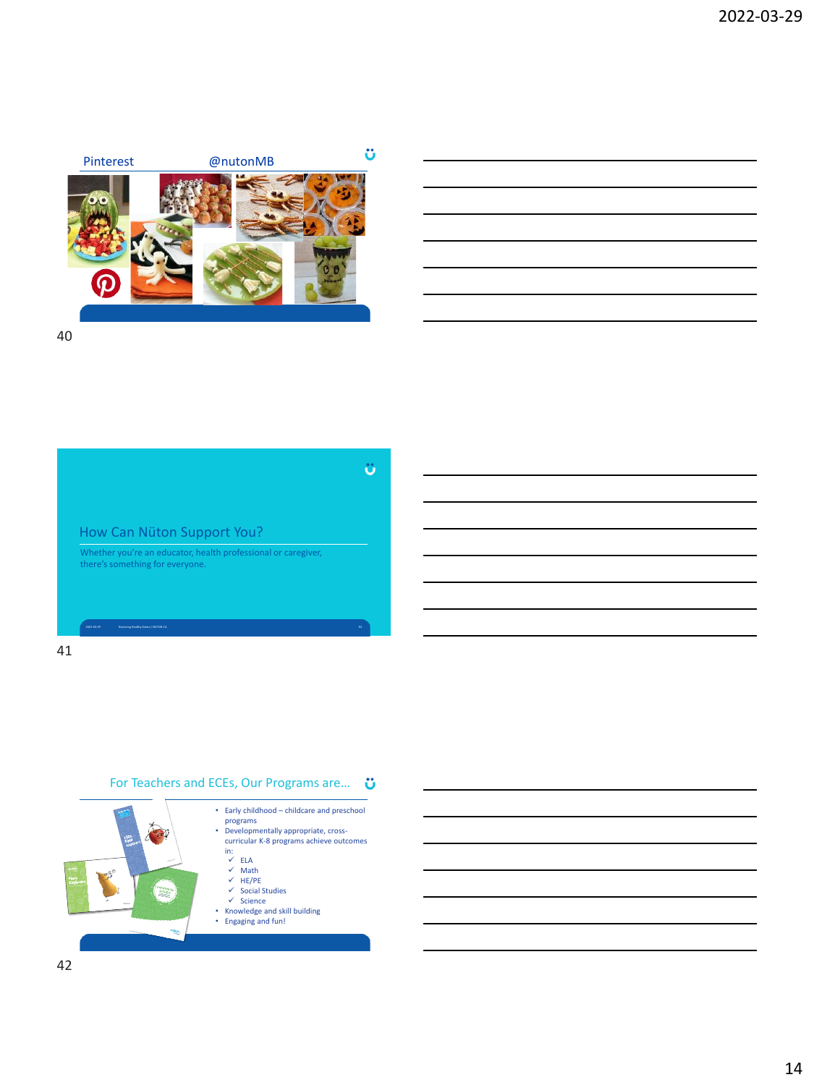

# 40



# 41

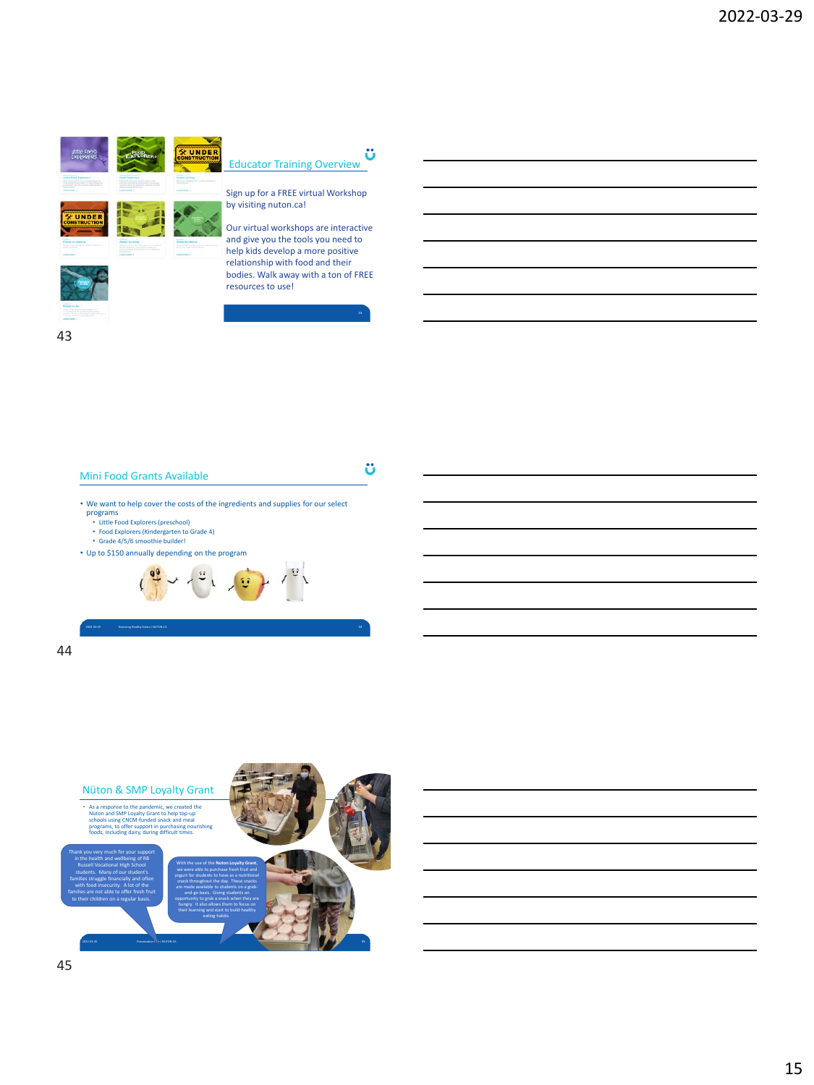



Sign up for a FREE virtual Workshop by visiting nuton.ca!

Our virtual workshops are interactive and give you the tools you need to help kids develop a more positive relationship with food and their bodies. Walk away with a ton of FREE resources to use!

ü





- We want to help cover the costs of the ingredients and supplies for our select programs
	-
	- Little Food Explorers (preschool) Food Explorers (Kindergarten to Grade 4) Grade 4/5/6 smoothie builder!
- Up to \$150 annually depending on the program



2022-03-29 Nurturing Healthy Eaters / NUTON.CA 44



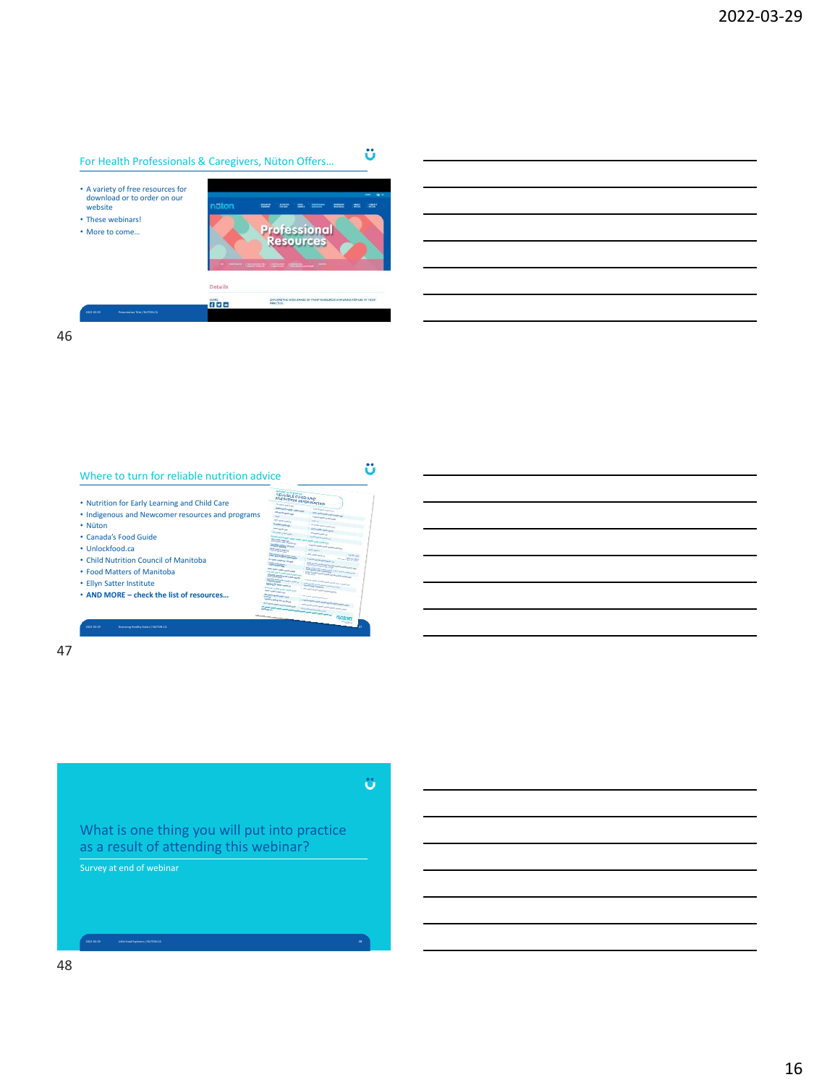# For Health Professionals & Caregivers, Nüton Offers…

- A variety of free resources for download or to order on our website • These webinars!
- More to come…



ü

ü

46



47

What is one thing you will put into practice as a result of attending this webinar?

Survey at end of webinar

2022-03-29 Little Food Explorers / NUTON.CA 48